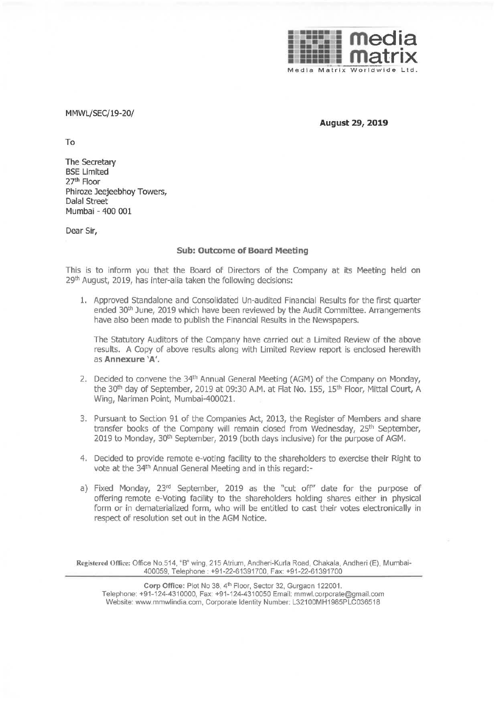

MMWL/SEC/19-20/

**August 29, 2019** 

To

The Secretary BSE Limited 27th Floor Phiroze Jeejeebhoy Towers, Dalal Street Mumbai - 400 001

Dear Sir,

## **Sub: Outcome of Board Meeting**

This is to inform you that the Board of Directors of the Company at its Meeting heid on 29<sup>th</sup> August, 2019, has inter-alia taken the following decisions:

1. Approved Standalone and Consolidated Un-audited Financial Results for the first quarter ended 30<sup>th</sup> June, 2019 which have been reviewed by the Audit Committee. Arrangements have also been made to publish the Financial Results in the Newspapers.

The Statutory Auditors of the Company have carried out a Limited Review of the above results. A Copy of above results along with Limited Review report is enclosed herewith as **Annexure 'A'.** 

- 2. Decided to convene the 34<sup>th</sup> Annual General Meeting (AGM) of the Company on Monday, the 30<sup>th</sup> day of September, 2019 at 09:30 A.M. at Flat No. 155, 15<sup>th</sup> Floor, Mittal Court, A Wing, Nariman Point, Mumbai-400021.
- 3. Pursuant to Section 91 of the Companies Act, 2013, the Register of Members and share transfer books of the Company will remain closed from Wednesday, 25<sup>th</sup> September, 2019 to Monday, 30<sup>th</sup> September, 2019 (both days inclusive) for the purpose of AGM.
- 4. Decided to provide remote e-voting facility to the shareholders to exercise their Right to vote at the 34th Annual General Meeting and in this regard:-
- a) Fixed Monday, 23<sup>rd</sup> September, 2019 as the "cut off" date for the purpose of offering remote e-Voting facility to the shareholders holding shares either in physical form or in dematerialized form, who will be entitled to cast their votes electronically in respect of resolution set out in the AGM Notice.

**Registered Otlice:** Office No.514, "B" wing, 215 Atrium, Andheri-Kurla Road, Chakala, Andheri (E), Mumbai-400059, Telephone: +91-22-61391700, Fax: +91-22-61391700

Corp Office: Plot No 38, 4<sup>th</sup> Floor, Sector 32, Gurgaon 122001. Telephone: +91-124-4310000, Fax: +91-124-4310050 Email: mmwl.corporate@gmail.com Website: www.mmwlindia.com, Corporate Identity Number: L32100MH1985PLC036518